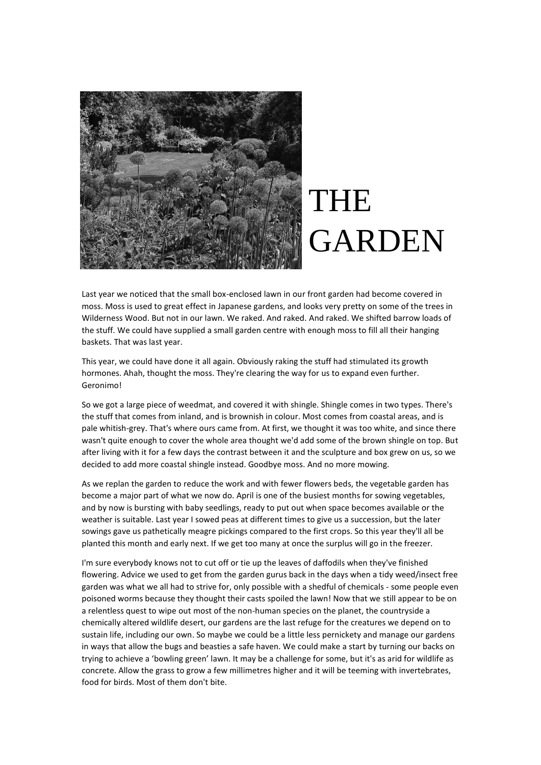

## THE GARDEN

Last year we noticed that the small box-enclosed lawn in our front garden had become covered in moss. Moss is used to great effect in Japanese gardens, and looks very pretty on some of the trees in Wilderness Wood. But not in our lawn. We raked. And raked. And raked. We shifted barrow loads of the stuff. We could have supplied a small garden centre with enough moss to fill all their hanging baskets. That was last year.

This year, we could have done it all again. Obviously raking the stuff had stimulated its growth hormones. Ahah, thought the moss. They're clearing the way for us to expand even further. Geronimo!

So we got a large piece of weedmat, and covered it with shingle. Shingle comes in two types. There's the stuff that comes from inland, and is brownish in colour. Most comes from coastal areas, and is pale whitish-grey. That's where ours came from. At first, we thought it was too white, and since there wasn't quite enough to cover the whole area thought we'd add some of the brown shingle on top. But after living with it for a few days the contrast between it and the sculpture and box grew on us, so we decided to add more coastal shingle instead. Goodbye moss. And no more mowing.

As we replan the garden to reduce the work and with fewer flowers beds, the vegetable garden has become a major part of what we now do. April is one of the busiest months for sowing vegetables, and by now is bursting with baby seedlings, ready to put out when space becomes available or the weather is suitable. Last year I sowed peas at different times to give us a succession, but the later sowings gave us pathetically meagre pickings compared to the first crops. So this year they'll all be planted this month and early next. If we get too many at once the surplus will go in the freezer.

I'm sure everybody knows not to cut off or tie up the leaves of daffodils when they've finished flowering. Advice we used to get from the garden gurus back in the days when a tidy weed/insect free garden was what we all had to strive for, only possible with a shedful of chemicals - some people even poisoned worms because they thought their casts spoiled the lawn! Now that we still appear to be on a relentless quest to wipe out most of the non-human species on the planet, the countryside a chemically altered wildlife desert, our gardens are the last refuge for the creatures we depend on to sustain life, including our own. So maybe we could be a little less pernickety and manage our gardens in ways that allow the bugs and beasties a safe haven. We could make a start by turning our backs on trying to achieve a 'bowling green' lawn. It may be a challenge for some, but it's as arid for wildlife as concrete. Allow the grass to grow a few millimetres higher and it will be teeming with invertebrates, food for birds. Most of them don't bite.